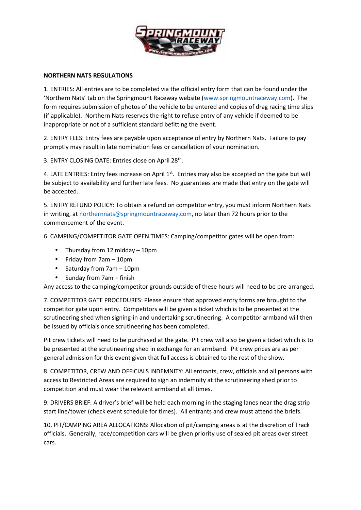

## **NORTHERN NATS REGULATIONS**

1. ENTRIES: All entries are to be completed via the official entry form that can be found under the 'Northern Nats' tab on the Springmount Raceway website (www.springmountraceway.com). The form requires submission of photos of the vehicle to be entered and copies of drag racing time slips (if applicable). Northern Nats reserves the right to refuse entry of any vehicle if deemed to be inappropriate or not of a sufficient standard befitting the event.

2. ENTRY FEES: Entry fees are payable upon acceptance of entry by Northern Nats. Failure to pay promptly may result in late nomination fees or cancellation of your nomination.

3. ENTRY CLOSING DATE: Entries close on April 28<sup>th</sup>.

4. LATE ENTRIES: Entry fees increase on April 1<sup>st</sup>. Entries may also be accepted on the gate but will be subject to availability and further late fees. No guarantees are made that entry on the gate will be accepted.

5. ENTRY REFUND POLICY: To obtain a refund on competitor entry, you must inform Northern Nats in writing, at northernnats@springmountraceway.com, no later than 72 hours prior to the commencement of the event.

6. CAMPING/COMPETITOR GATE OPEN TIMES: Camping/competitor gates will be open from:

- Thursday from 12 midday 10pm
- Friday from 7am 10pm
- Saturday from 7am 10pm
- $\bullet$  Sunday from 7am finish

Any access to the camping/competitor grounds outside of these hours will need to be pre-arranged.

7. COMPETITOR GATE PROCEDURES: Please ensure that approved entry forms are brought to the competitor gate upon entry. Competitors will be given a ticket which is to be presented at the scrutineering shed when signing-in and undertaking scrutineering. A competitor armband will then be issued by officials once scrutineering has been completed.

Pit crew tickets will need to be purchased at the gate. Pit crew will also be given a ticket which is to be presented at the scrutineering shed in exchange for an armband. Pit crew prices are as per general admission for this event given that full access is obtained to the rest of the show.

8. COMPETITOR, CREW AND OFFICIALS INDEMNITY: All entrants, crew, officials and all persons with access to Restricted Areas are required to sign an indemnity at the scrutineering shed prior to competition and must wear the relevant armband at all times.

9. DRIVERS BRIEF: A driver's brief will be held each morning in the staging lanes near the drag strip start line/tower (check event schedule for times). All entrants and crew must attend the briefs.

10. PIT/CAMPING AREA ALLOCATIONS: Allocation of pit/camping areas is at the discretion of Track officials. Generally, race/competition cars will be given priority use of sealed pit areas over street cars.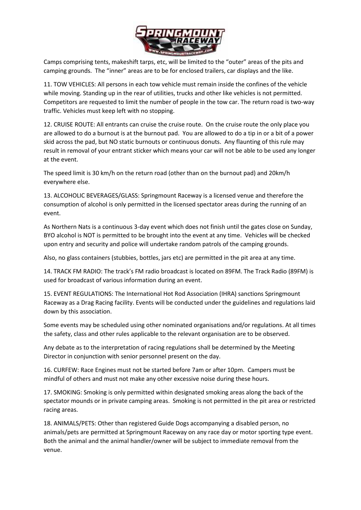

Camps comprising tents, makeshift tarps, etc, will be limited to the "outer" areas of the pits and camping grounds. The "inner" areas are to be for enclosed trailers, car displays and the like.

11. TOW VEHICLES: All persons in each tow vehicle must remain inside the confines of the vehicle while moving. Standing up in the rear of utilities, trucks and other like vehicles is not permitted. Competitors are requested to limit the number of people in the tow car. The return road is two-way traffic. Vehicles must keep left with no stopping.

12. CRUISE ROUTE: All entrants can cruise the cruise route. On the cruise route the only place you are allowed to do a burnout is at the burnout pad. You are allowed to do a tip in or a bit of a power skid across the pad, but NO static burnouts or continuous donuts. Any flaunting of this rule may result in removal of your entrant sticker which means your car will not be able to be used any longer at the event.

The speed limit is 30 km/h on the return road (other than on the burnout pad) and 20km/h everywhere else.

13. ALCOHOLIC BEVERAGES/GLASS: Springmount Raceway is a licensed venue and therefore the consumption of alcohol is only permitted in the licensed spectator areas during the running of an event.

As Northern Nats is a continuous 3-day event which does not finish until the gates close on Sunday, BYO alcohol is NOT is permitted to be brought into the event at any time. Vehicles will be checked upon entry and security and police will undertake random patrols of the camping grounds.

Also, no glass containers (stubbies, bottles, jars etc) are permitted in the pit area at any time.

14. TRACK FM RADIO: The track's FM radio broadcast is located on 89FM. The Track Radio (89FM) is used for broadcast of various information during an event.

15. EVENT REGULATIONS: The International Hot Rod Association (IHRA) sanctions Springmount Raceway as a Drag Racing facility. Events will be conducted under the guidelines and regulations laid down by this association.

Some events may be scheduled using other nominated organisations and/or regulations. At all times the safety, class and other rules applicable to the relevant organisation are to be observed.

Any debate as to the interpretation of racing regulations shall be determined by the Meeting Director in conjunction with senior personnel present on the day.

16. CURFEW: Race Engines must not be started before 7am or after 10pm. Campers must be mindful of others and must not make any other excessive noise during these hours.

17. SMOKING: Smoking is only permitted within designated smoking areas along the back of the spectator mounds or in private camping areas. Smoking is not permitted in the pit area or restricted racing areas.

18. ANIMALS/PETS: Other than registered Guide Dogs accompanying a disabled person, no animals/pets are permitted at Springmount Raceway on any race day or motor sporting type event. Both the animal and the animal handler/owner will be subject to immediate removal from the venue.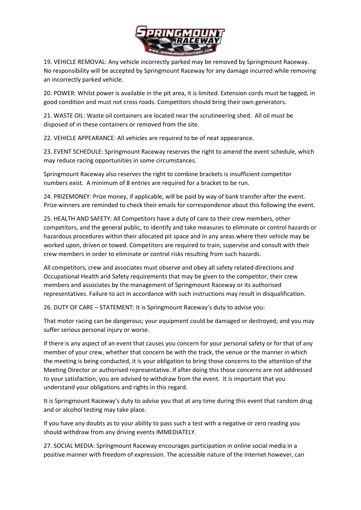

19. VEHICLE REMOVAL: Any vehicle incorrectly parked may be removed by Springmount Raceway. No responsibility will be accepted by Springmount Raceway for any damage incurred while removing an incorrectly parked vehicle.

20. POWER: Whilst power is available in the pit area, it is limited. Extension cords must be tagged, in good condition and must not cross roads. Competitors should bring their own generators.

21. WASTE OIL: Waste oil containers are located near the scrutineering shed. All oil must be disposed of in these containers or removed from the site.

22. VEHICLE APPEARANCE: All vehicles are required to be of neat appearance.

23. EVENT SCHEDULE: Springmount Raceway reserves the right to amend the event schedule, which may reduce racing opportunities in some circumstances.

Springmount Raceway also reserves the right to combine brackets is insufficient competitor numbers exist. A minimum of 8 entries are required for a bracket to be run.

24. PRIZEMONEY: Prize money, if applicable, will be paid by way of bank transfer after the event. Prize winners are reminded to check their emails for correspondence about this following the event.

25. HEALTH AND SAFETY: All Competitors have a duty of care to their crew members, other competitors, and the general public, to identify and take measures to eliminate or control hazards or hazardous procedures within their allocated pit space and in any areas where their vehicle may be worked upon, driven or towed. Competitors are required to train, supervise and consult with their crew members in order to eliminate or control risks resulting from such hazards.

All competitors, crew and associates must observe and obey all safety related directions and Occupational Health and Safety requirements that may be given to the competitor, their crew members and associates by the management of Springmount Raceway or its authorised representatives. Failure to act in accordance with such instructions may result in disqualification.

26. DUTY OF CARE – STATEMENT: It is Springmount Raceway's duty to advise you:

That motor racing can be dangerous; your equipment could be damaged or destroyed; and you may suffer serious personal injury or worse.

If there is any aspect of an event that causes you concern for your personal safety or for that of any member of your crew, whether that concern be with the track, the venue or the manner in which the meeting is being conducted, it is your obligation to bring those concerns to the attention of the Meeting Director or authorised representative. If after doing this those concerns are not addressed to your satisfaction, you are advised to withdraw from the event. It is important that you understand your obligations and rights in this regard.

It is Springmount Raceway's duty to advise you that at any time during this event that random drug and or alcohol testing may take place.

If you have any doubts as to your ability to pass such a test with a negative or zero reading you should withdraw from any driving events IMMEDIATELY.

27. SOCIAL MEDIA: Springmount Raceway encourages participation in online social media in a positive manner with freedom of expression. The accessible nature of the Internet however, can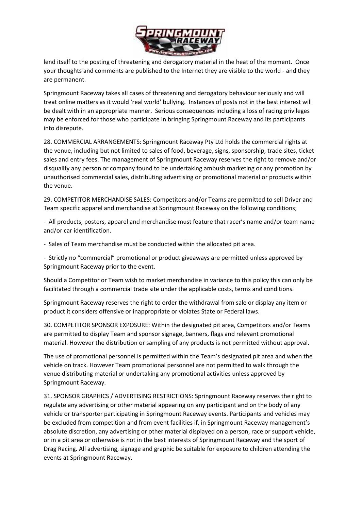

lend itself to the posting of threatening and derogatory material in the heat of the moment. Once your thoughts and comments are published to the Internet they are visible to the world - and they are permanent.

Springmount Raceway takes all cases of threatening and derogatory behaviour seriously and will treat online matters as it would 'real world' bullying. Instances of posts not in the best interest will be dealt with in an appropriate manner. Serious consequences including a loss of racing privileges may be enforced for those who participate in bringing Springmount Raceway and its participants into disrepute.

28. COMMERCIAL ARRANGEMENTS: Springmount Raceway Pty Ltd holds the commercial rights at the venue, including but not limited to sales of food, beverage, signs, sponsorship, trade sites, ticket sales and entry fees. The management of Springmount Raceway reserves the right to remove and/or disqualify any person or company found to be undertaking ambush marketing or any promotion by unauthorised commercial sales, distributing advertising or promotional material or products within the venue.

29. COMPETITOR MERCHANDISE SALES: Competitors and/or Teams are permitted to sell Driver and Team specific apparel and merchandise at Springmount Raceway on the following conditions;

- All products, posters, apparel and merchandise must feature that racer's name and/or team name and/or car identification.

- Sales of Team merchandise must be conducted within the allocated pit area.

- Strictly no "commercial" promotional or product giveaways are permitted unless approved by Springmount Raceway prior to the event.

Should a Competitor or Team wish to market merchandise in variance to this policy this can only be facilitated through a commercial trade site under the applicable costs, terms and conditions.

Springmount Raceway reserves the right to order the withdrawal from sale or display any item or product it considers offensive or inappropriate or violates State or Federal laws.

30. COMPETITOR SPONSOR EXPOSURE: Within the designated pit area, Competitors and/or Teams are permitted to display Team and sponsor signage, banners, flags and relevant promotional material. However the distribution or sampling of any products is not permitted without approval.

The use of promotional personnel is permitted within the Team's designated pit area and when the vehicle on track. However Team promotional personnel are not permitted to walk through the venue distributing material or undertaking any promotional activities unless approved by Springmount Raceway.

31. SPONSOR GRAPHICS / ADVERTISING RESTRICTIONS: Springmount Raceway reserves the right to regulate any advertising or other material appearing on any participant and on the body of any vehicle or transporter participating in Springmount Raceway events. Participants and vehicles may be excluded from competition and from event facilities if, in Springmount Raceway management's absolute discretion, any advertising or other material displayed on a person, race or support vehicle, or in a pit area or otherwise is not in the best interests of Springmount Raceway and the sport of Drag Racing. All advertising, signage and graphic be suitable for exposure to children attending the events at Springmount Raceway.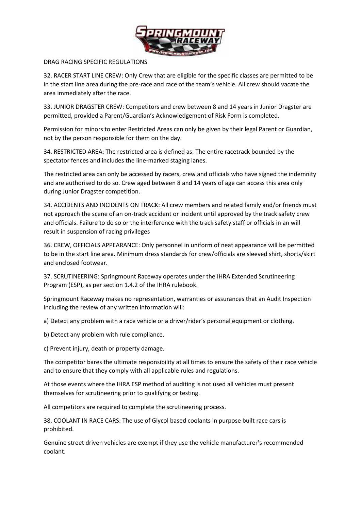

## DRAG RACING SPECIFIC REGULATIONS

32. RACER START LINE CREW: Only Crew that are eligible for the specific classes are permitted to be in the start line area during the pre-race and race of the team's vehicle. All crew should vacate the area immediately after the race.

33. JUNIOR DRAGSTER CREW: Competitors and crew between 8 and 14 years in Junior Dragster are permitted, provided a Parent/Guardian's Acknowledgement of Risk Form is completed.

Permission for minors to enter Restricted Areas can only be given by their legal Parent or Guardian, not by the person responsible for them on the day.

34. RESTRICTED AREA: The restricted area is defined as: The entire racetrack bounded by the spectator fences and includes the line-marked staging lanes.

The restricted area can only be accessed by racers, crew and officials who have signed the indemnity and are authorised to do so. Crew aged between 8 and 14 years of age can access this area only during Junior Dragster competition.

34. ACCIDENTS AND INCIDENTS ON TRACK: All crew members and related family and/or friends must not approach the scene of an on-track accident or incident until approved by the track safety crew and officials. Failure to do so or the interference with the track safety staff or officials in an will result in suspension of racing privileges

36. CREW, OFFICIALS APPEARANCE: Only personnel in uniform of neat appearance will be permitted to be in the start line area. Minimum dress standards for crew/officials are sleeved shirt, shorts/skirt and enclosed footwear.

37. SCRUTINEERING: Springmount Raceway operates under the IHRA Extended Scrutineering Program (ESP), as per section 1.4.2 of the IHRA rulebook.

Springmount Raceway makes no representation, warranties or assurances that an Audit Inspection including the review of any written information will:

a) Detect any problem with a race vehicle or a driver/rider's personal equipment or clothing.

b) Detect any problem with rule compliance.

c) Prevent injury, death or property damage.

The competitor bares the ultimate responsibility at all times to ensure the safety of their race vehicle and to ensure that they comply with all applicable rules and regulations.

At those events where the IHRA ESP method of auditing is not used all vehicles must present themselves for scrutineering prior to qualifying or testing.

All competitors are required to complete the scrutineering process.

38. COOLANT IN RACE CARS: The use of Glycol based coolants in purpose built race cars is prohibited.

Genuine street driven vehicles are exempt if they use the vehicle manufacturer's recommended coolant.